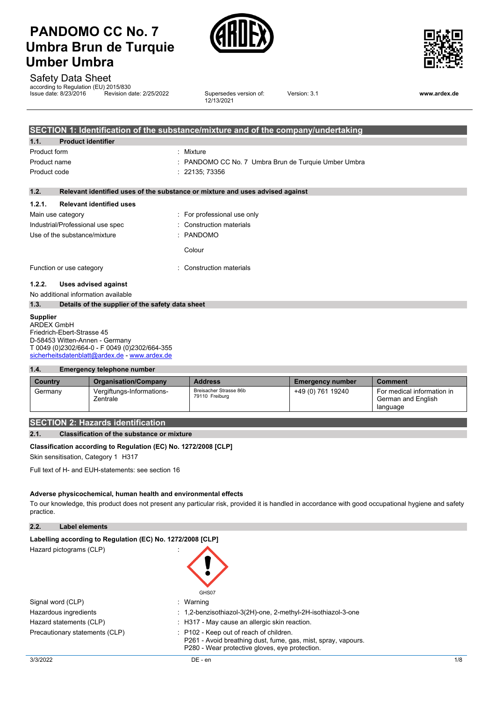

12/13/2021



Version: 3.1 **www.ardex.de**

Safety Data Sheet

according to Regulation (EU) 2015/830 Issue date: 8/23/2016 Revision date: 2/25/2022 Supersedes version of:

|                                     |                                                  |  | SECTION 1: Identification of the substance/mixture and of the company/undertaking |
|-------------------------------------|--------------------------------------------------|--|-----------------------------------------------------------------------------------|
| 1.1.                                | <b>Product identifier</b>                        |  |                                                                                   |
| Product form                        |                                                  |  | : Mixture                                                                         |
| Product name                        |                                                  |  | PANDOMO CC No. 7 Umbra Brun de Turquie Umber Umbra                                |
| Product code                        |                                                  |  | : 22135; 73356                                                                    |
| 1.2.                                |                                                  |  | Relevant identified uses of the substance or mixture and uses advised against     |
| 1.2.1.                              | <b>Relevant identified uses</b>                  |  |                                                                                   |
| Main use category                   |                                                  |  | : For professional use only                                                       |
| Industrial/Professional use spec    |                                                  |  | Construction materials                                                            |
|                                     | Use of the substance/mixture                     |  | : PANDOMO                                                                         |
|                                     |                                                  |  | Colour                                                                            |
|                                     | Function or use category                         |  | Construction materials                                                            |
| 1.2.2.                              | <b>Uses advised against</b>                      |  |                                                                                   |
| No additional information available |                                                  |  |                                                                                   |
| 1.3.                                | Details of the supplier of the safety data sheet |  |                                                                                   |
| <b>Supplier</b>                     |                                                  |  |                                                                                   |

ARDEX GmbH Friedrich-Ebert-Strasse 45 D-58453 Witten-Annen - Germany T 0049 (0)2302/664-0 - F 0049 (0)2302/664-355 [sicherheitsdatenblatt@ardex.de](mailto:sicherheitsdatenblatt@ardex.de) - [www.ardex.de](http://www.ardex.de/)

### **1.4. Emergency telephone number**

| Country | <b>Organisation/Company</b>           | <b>Address</b>                           | <b>Emergency number</b> | <b>Comment</b>                                               |
|---------|---------------------------------------|------------------------------------------|-------------------------|--------------------------------------------------------------|
| Germany | Vergiftungs-Informations-<br>Zentrale | Breisacher Strasse 86b<br>79110 Freiburg | +49 (0) 761 19240       | For medical information in<br>German and English<br>language |

# **SECTION 2: Hazards identification**

# **2.1. Classification of the substance or mixture**

**Classification according to Regulation (EC) No. 1272/2008 [CLP]**

Skin sensitisation, Category 1 H317

Full text of H- and EUH-statements: see section 16

### **Adverse physicochemical, human health and environmental effects**

To our knowledge, this product does not present any particular risk, provided it is handled in accordance with good occupational hygiene and safety practice.

# **2.2. Label elements**

| Labelling according to Regulation (EC) No. 1272/2008 [CLP] |                                                                                                                                                            |              |  |
|------------------------------------------------------------|------------------------------------------------------------------------------------------------------------------------------------------------------------|--------------|--|
| Hazard pictograms (CLP)                                    | GHS07                                                                                                                                                      |              |  |
| Signal word (CLP)                                          | : Warning                                                                                                                                                  |              |  |
| Hazardous ingredients                                      | : 1,2-benzisothiazol-3(2H)-one, 2-methyl-2H-isothiazol-3-one                                                                                               |              |  |
| Hazard statements (CLP)                                    | : H317 - May cause an allergic skin reaction.                                                                                                              |              |  |
| Precautionary statements (CLP)                             | : P102 - Keep out of reach of children.<br>P261 - Avoid breathing dust, fume, gas, mist, spray, vapours.<br>P280 - Wear protective gloves, eve protection. |              |  |
| 3/3/2022                                                   | DE - en                                                                                                                                                    | $1/\epsilon$ |  |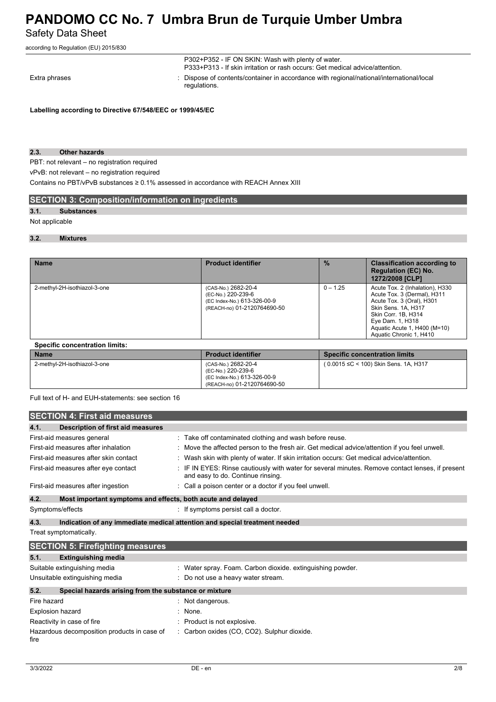# **PANDOMO CC No. 7 Umbra Brun de Turquie Umber Umbra** Safety Data Sheet

according to Regulation (EU) 2015/830

|               | P302+P352 - IF ON SKIN: Wash with plenty of water.<br>P333+P313 - If skin irritation or rash occurs: Get medical advice/attention. |
|---------------|------------------------------------------------------------------------------------------------------------------------------------|
| Extra phrases | : Dispose of contents/container in accordance with regional/national/international/local<br>requlations.                           |

**Labelling according to Directive 67/548/EEC or 1999/45/EC**

#### **2.3. Other hazards**

PBT: not relevant – no registration required

vPvB: not relevant – no registration required

Contains no PBT/vPvB substances ≥ 0.1% assessed in accordance with REACH Annex XIII

# **SECTION 3: Composition/information on ingredients**

# **3.1. Substances**

Not applicable

### **3.2. Mixtures**

| <b>Name</b>                  | <b>Product identifier</b>                                                                               | $\frac{0}{2}$ | <b>Classification according to</b><br><b>Regulation (EC) No.</b><br>1272/2008 [CLP]                                                                                                                                      |
|------------------------------|---------------------------------------------------------------------------------------------------------|---------------|--------------------------------------------------------------------------------------------------------------------------------------------------------------------------------------------------------------------------|
| 2-methyl-2H-isothiazol-3-one | (CAS-No.) 2682-20-4<br>(EC-No.) 220-239-6<br>(EC Index-No.) 613-326-00-9<br>(REACH-no) 01-2120764690-50 | $0 - 1.25$    | Acute Tox. 2 (Inhalation), H330<br>Acute Tox. 3 (Dermal), H311<br>Acute Tox. 3 (Oral), H301<br>Skin Sens, 1A, H317<br>Skin Corr. 1B, H314<br>Eye Dam. 1, H318<br>Aquatic Acute 1, H400 (M=10)<br>Aquatic Chronic 1, H410 |

# **Specific concentration limits:**

| <b>Name</b>                  | <b>Product identifier</b>                                                                               | <b>Specific concentration limits</b>  |
|------------------------------|---------------------------------------------------------------------------------------------------------|---------------------------------------|
| 2-methyl-2H-isothiazol-3-one | (CAS-No.) 2682-20-4<br>(EC-No.) 220-239-6<br>(EC Index-No.) 613-326-00-9<br>(REACH-no) 01-2120764690-50 | (0.0015 ≤C < 100) Skin Sens. 1A, H317 |

Full text of H- and EUH-statements: see section 16

| <b>SECTION 4: First aid measures</b>                                |                                                                                                                                       |  |  |
|---------------------------------------------------------------------|---------------------------------------------------------------------------------------------------------------------------------------|--|--|
| 4.1.<br>Description of first aid measures                           |                                                                                                                                       |  |  |
| First-aid measures general                                          | : Take off contaminated clothing and wash before reuse.                                                                               |  |  |
| First-aid measures after inhalation                                 | : Move the affected person to the fresh air. Get medical advice/attention if you feel unwell.                                         |  |  |
| First-aid measures after skin contact                               | : Wash skin with plenty of water. If skin irritation occurs: Get medical advice/attention.                                            |  |  |
| First-aid measures after eye contact                                | : IF IN EYES: Rinse cautiously with water for several minutes. Remove contact lenses, if present<br>and easy to do. Continue rinsing. |  |  |
| First-aid measures after ingestion                                  | : Call a poison center or a doctor if you feel unwell.                                                                                |  |  |
| 4.2.<br>Most important symptoms and effects, both acute and delayed |                                                                                                                                       |  |  |
| Symptoms/effects                                                    | If symptoms persist call a doctor.                                                                                                    |  |  |
| 4.3.                                                                | Indication of any immediate medical attention and special treatment needed                                                            |  |  |

Treat symptomatically.

| <b>SECTION 5: Firefighting measures</b>                       |                                                            |  |  |
|---------------------------------------------------------------|------------------------------------------------------------|--|--|
| 5.1.<br><b>Extinguishing media</b>                            |                                                            |  |  |
| Suitable extinguishing media                                  | : Water spray. Foam. Carbon dioxide. extinguishing powder. |  |  |
| Unsuitable extinguishing media                                | : Do not use a heavy water stream.                         |  |  |
| 5.2.<br>Special hazards arising from the substance or mixture |                                                            |  |  |
| Fire hazard                                                   | : Not dangerous.                                           |  |  |
| <b>Explosion hazard</b>                                       | $:$ None.                                                  |  |  |
| Reactivity in case of fire                                    | : Product is not explosive.                                |  |  |
| Hazardous decomposition products in case of<br>fire           | : Carbon oxides (CO, CO2). Sulphur dioxide.                |  |  |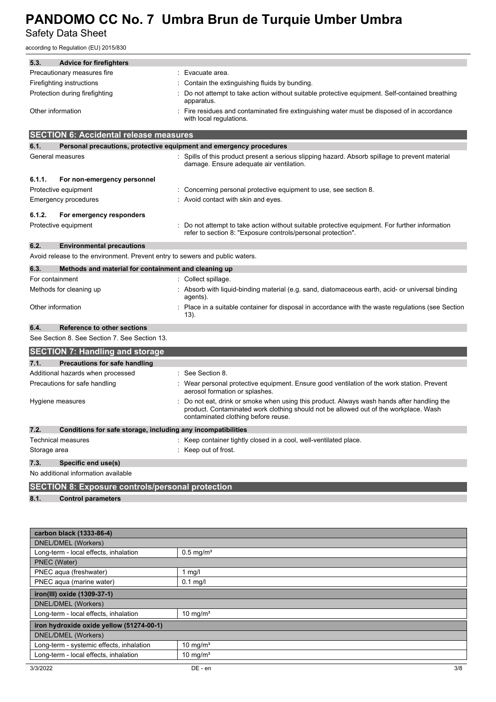Safety Data Sheet

according to Regulation (EU) 2015/830

| 5.3.         | <b>Advice for firefighters</b>                                               |                                                                                                                                                                                                                         |  |  |
|--------------|------------------------------------------------------------------------------|-------------------------------------------------------------------------------------------------------------------------------------------------------------------------------------------------------------------------|--|--|
|              | Precautionary measures fire                                                  | : Evacuate area.                                                                                                                                                                                                        |  |  |
|              | Firefighting instructions                                                    | Contain the extinguishing fluids by bunding.                                                                                                                                                                            |  |  |
|              | Protection during firefighting                                               | Do not attempt to take action without suitable protective equipment. Self-contained breathing<br>apparatus.                                                                                                             |  |  |
|              | Other information                                                            | Fire residues and contaminated fire extinguishing water must be disposed of in accordance<br>with local regulations.                                                                                                    |  |  |
|              | <b>SECTION 6: Accidental release measures</b>                                |                                                                                                                                                                                                                         |  |  |
| 6.1.         | Personal precautions, protective equipment and emergency procedures          |                                                                                                                                                                                                                         |  |  |
|              | General measures                                                             | : Spills of this product present a serious slipping hazard. Absorb spillage to prevent material<br>damage. Ensure adequate air ventilation.                                                                             |  |  |
| 6.1.1.       | For non-emergency personnel                                                  |                                                                                                                                                                                                                         |  |  |
|              | Protective equipment                                                         | Concerning personal protective equipment to use, see section 8.                                                                                                                                                         |  |  |
|              | Emergency procedures                                                         | Avoid contact with skin and eyes.                                                                                                                                                                                       |  |  |
| 6.1.2.       | For emergency responders                                                     |                                                                                                                                                                                                                         |  |  |
|              | Protective equipment                                                         | Do not attempt to take action without suitable protective equipment. For further information                                                                                                                            |  |  |
|              |                                                                              | refer to section 8: "Exposure controls/personal protection".                                                                                                                                                            |  |  |
| 6.2.         | <b>Environmental precautions</b>                                             |                                                                                                                                                                                                                         |  |  |
|              | Avoid release to the environment. Prevent entry to sewers and public waters. |                                                                                                                                                                                                                         |  |  |
| 6.3.         | Methods and material for containment and cleaning up                         |                                                                                                                                                                                                                         |  |  |
|              | For containment                                                              | : Collect spillage.                                                                                                                                                                                                     |  |  |
|              | Methods for cleaning up                                                      | Absorb with liquid-binding material (e.g. sand, diatomaceous earth, acid- or universal binding<br>agents).                                                                                                              |  |  |
|              | Other information                                                            | Place in a suitable container for disposal in accordance with the waste regulations (see Section<br>13).                                                                                                                |  |  |
| 6.4.         | Reference to other sections                                                  |                                                                                                                                                                                                                         |  |  |
|              | See Section 8. See Section 7. See Section 13.                                |                                                                                                                                                                                                                         |  |  |
|              | <b>SECTION 7: Handling and storage</b>                                       |                                                                                                                                                                                                                         |  |  |
| 7.1.         | <b>Precautions for safe handling</b>                                         |                                                                                                                                                                                                                         |  |  |
|              | Additional hazards when processed                                            | : See Section 8.                                                                                                                                                                                                        |  |  |
|              | Precautions for safe handling                                                | Wear personal protective equipment. Ensure good ventilation of the work station. Prevent<br>aerosol formation or splashes.                                                                                              |  |  |
|              | Hygiene measures                                                             | Do not eat, drink or smoke when using this product. Always wash hands after handling the<br>product. Contaminated work clothing should not be allowed out of the workplace. Wash<br>contaminated clothing before reuse. |  |  |
| 7.2.         | Conditions for safe storage, including any incompatibilities                 |                                                                                                                                                                                                                         |  |  |
|              | <b>Technical measures</b>                                                    | : Keep container tightly closed in a cool, well-ventilated place.                                                                                                                                                       |  |  |
| Storage area |                                                                              | Keep out of frost.                                                                                                                                                                                                      |  |  |
| 7.3.         | Specific end use(s)                                                          |                                                                                                                                                                                                                         |  |  |
|              | No additional information available                                          |                                                                                                                                                                                                                         |  |  |
|              |                                                                              |                                                                                                                                                                                                                         |  |  |
|              | <b>SECTION 8: Exposure controls/personal protection</b>                      |                                                                                                                                                                                                                         |  |  |
| 8.1.         | <b>Control parameters</b>                                                    |                                                                                                                                                                                                                         |  |  |
|              | carbon black (1333-86-4)                                                     |                                                                                                                                                                                                                         |  |  |
|              | DNEL/DMEL (Workers)                                                          |                                                                                                                                                                                                                         |  |  |
|              | Long-term - local effects, inhalation                                        | $0.5$ mg/m <sup>3</sup>                                                                                                                                                                                                 |  |  |
|              | PNEC (Water)                                                                 |                                                                                                                                                                                                                         |  |  |
|              | PNEC aqua (freshwater)                                                       | 1 $mg/l$                                                                                                                                                                                                                |  |  |
|              | PNEC aqua (marine water)                                                     | $0.1$ mg/l                                                                                                                                                                                                              |  |  |
|              | iron(III) oxide (1309-37-1)                                                  |                                                                                                                                                                                                                         |  |  |
|              | <b>DNEL/DMEL (Workers)</b>                                                   |                                                                                                                                                                                                                         |  |  |
|              | Long-term - local effects, inhalation                                        | 10 mg/ $m3$                                                                                                                                                                                                             |  |  |
|              | iron hydroxide oxide yellow (51274-00-1)                                     |                                                                                                                                                                                                                         |  |  |
|              | <b>DNEL/DMEL (Workers)</b>                                                   |                                                                                                                                                                                                                         |  |  |
|              | Long-term - systemic effects, inhalation                                     | 10 mg/ $m3$                                                                                                                                                                                                             |  |  |
|              | Long-term - local effects, inhalation                                        | 10 mg/ $m3$                                                                                                                                                                                                             |  |  |
| 3/3/2022     |                                                                              | DE - en<br>3/8                                                                                                                                                                                                          |  |  |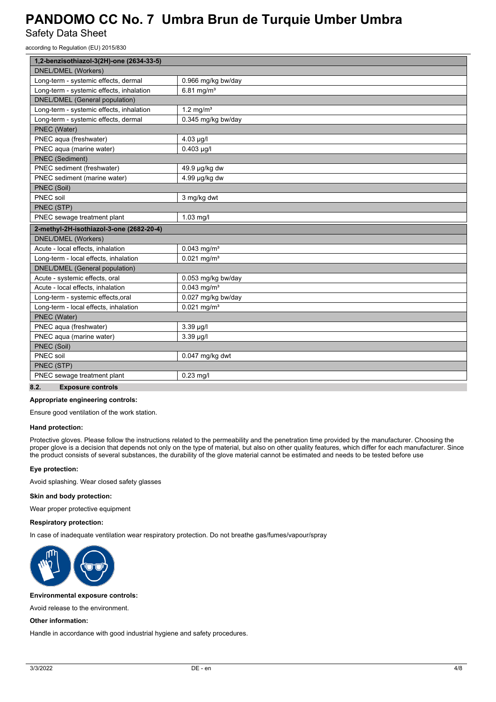# **PANDOMO CC No. 7 Umbra Brun de Turquie Umber Umbra** Safety Data Sheet

according to Regulation (EU) 2015/830

| 1,2-benzisothiazol-3(2H)-one (2634-33-5) |                           |  |  |
|------------------------------------------|---------------------------|--|--|
| <b>DNEL/DMEL (Workers)</b>               |                           |  |  |
| Long-term - systemic effects, dermal     | 0.966 mg/kg bw/day        |  |  |
| Long-term - systemic effects, inhalation | 6.81 mg/ $m^3$            |  |  |
| DNEL/DMEL (General population)           |                           |  |  |
| Long-term - systemic effects, inhalation | 1.2 mg/ $m3$              |  |  |
| Long-term - systemic effects, dermal     | 0.345 mg/kg bw/day        |  |  |
| PNEC (Water)                             |                           |  |  |
| PNEC agua (freshwater)                   | $4.03 \mu g/l$            |  |  |
| PNEC aqua (marine water)                 | $0.403$ µg/l              |  |  |
| PNEC (Sediment)                          |                           |  |  |
| PNEC sediment (freshwater)               | 49.9 µg/kg dw             |  |  |
| PNEC sediment (marine water)             | 4.99 µg/kg dw             |  |  |
| PNEC (Soil)                              |                           |  |  |
| PNEC soil                                | 3 mg/kg dwt               |  |  |
| PNEC (STP)                               |                           |  |  |
| PNEC sewage treatment plant              | $1.03$ mg/l               |  |  |
| 2-methyl-2H-isothiazol-3-one (2682-20-4) |                           |  |  |
|                                          |                           |  |  |
| <b>DNEL/DMEL (Workers)</b>               |                           |  |  |
| Acute - local effects, inhalation        | $0.043$ mg/m <sup>3</sup> |  |  |
| Long-term - local effects, inhalation    | $0.021$ mg/m <sup>3</sup> |  |  |
| DNEL/DMEL (General population)           |                           |  |  |
| Acute - systemic effects, oral           | 0.053 mg/kg bw/day        |  |  |
| Acute - local effects, inhalation        | $0.043$ mg/m <sup>3</sup> |  |  |
| Long-term - systemic effects, oral       | 0.027 mg/kg bw/day        |  |  |
| Long-term - local effects, inhalation    | $0.021$ mg/m <sup>3</sup> |  |  |
| PNEC (Water)                             |                           |  |  |
| PNEC aqua (freshwater)                   | 3.39 µg/l                 |  |  |
| PNEC aqua (marine water)                 | 3.39 µg/l                 |  |  |
| PNEC (Soil)                              |                           |  |  |
| PNEC soil                                | $0.047$ mg/kg dwt         |  |  |
| PNEC (STP)                               |                           |  |  |
| PNEC sewage treatment plant              | $0.23$ mg/l               |  |  |

### **Appropriate engineering controls:**

Ensure good ventilation of the work station.

#### **Hand protection:**

Protective gloves. Please follow the instructions related to the permeability and the penetration time provided by the manufacturer. Choosing the proper glove is a decision that depends not only on the type of material, but also on other quality features, which differ for each manufacturer. Since the product consists of several substances, the durability of the glove material cannot be estimated and needs to be tested before use

### **Eye protection:**

Avoid splashing. Wear closed safety glasses

### **Skin and body protection:**

Wear proper protective equipment

#### **Respiratory protection:**

In case of inadequate ventilation wear respiratory protection. Do not breathe gas/fumes/vapour/spray



#### **Environmental exposure controls:**

Avoid release to the environment.

### **Other information:**

Handle in accordance with good industrial hygiene and safety procedures.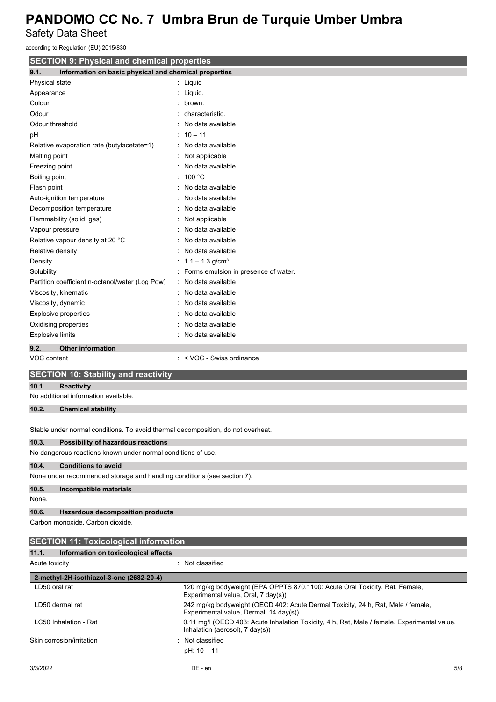Safety Data Sheet

| according to Regulation (EU) 2015/830                                                                                                    |                                                                                  |  |  |
|------------------------------------------------------------------------------------------------------------------------------------------|----------------------------------------------------------------------------------|--|--|
| <b>SECTION 9: Physical and chemical properties</b>                                                                                       |                                                                                  |  |  |
| Information on basic physical and chemical properties<br>9.1.                                                                            |                                                                                  |  |  |
| Physical state                                                                                                                           | : Liquid                                                                         |  |  |
| Appearance                                                                                                                               | : Liquid.                                                                        |  |  |
| Colour                                                                                                                                   | brown.                                                                           |  |  |
| Odour                                                                                                                                    | characteristic.                                                                  |  |  |
| Odour threshold                                                                                                                          | No data available                                                                |  |  |
| pH                                                                                                                                       | $10 - 11$                                                                        |  |  |
| Relative evaporation rate (butylacetate=1)                                                                                               | No data available                                                                |  |  |
| Melting point                                                                                                                            | Not applicable                                                                   |  |  |
| Freezing point                                                                                                                           | No data available                                                                |  |  |
| Boiling point                                                                                                                            | 100 °C                                                                           |  |  |
| Flash point                                                                                                                              | No data available                                                                |  |  |
| Auto-ignition temperature                                                                                                                | No data available                                                                |  |  |
| Decomposition temperature                                                                                                                | No data available                                                                |  |  |
| Flammability (solid, gas)                                                                                                                | Not applicable                                                                   |  |  |
| Vapour pressure                                                                                                                          | No data available                                                                |  |  |
| Relative vapour density at 20 °C                                                                                                         | No data available                                                                |  |  |
| Relative density                                                                                                                         | No data available                                                                |  |  |
| Density                                                                                                                                  | : $1.1 - 1.3$ g/cm <sup>3</sup>                                                  |  |  |
| Solubility                                                                                                                               | Forms emulsion in presence of water.                                             |  |  |
| Partition coefficient n-octanol/water (Log Pow)                                                                                          | No data available                                                                |  |  |
| Viscosity, kinematic                                                                                                                     | No data available                                                                |  |  |
| Viscosity, dynamic                                                                                                                       | No data available                                                                |  |  |
| <b>Explosive properties</b>                                                                                                              | No data available                                                                |  |  |
| Oxidising properties                                                                                                                     | No data available                                                                |  |  |
| <b>Explosive limits</b>                                                                                                                  | No data available                                                                |  |  |
| 9.2.<br><b>Other information</b>                                                                                                         |                                                                                  |  |  |
| VOC content<br>: < VOC - Swiss ordinance                                                                                                 |                                                                                  |  |  |
| <b>SECTION 10: Stability and reactivity</b>                                                                                              |                                                                                  |  |  |
|                                                                                                                                          |                                                                                  |  |  |
| 10.1.<br><b>Reactivity</b><br>No additional information available.                                                                       |                                                                                  |  |  |
|                                                                                                                                          |                                                                                  |  |  |
| 10.2.<br><b>Chemical stability</b>                                                                                                       |                                                                                  |  |  |
|                                                                                                                                          |                                                                                  |  |  |
| Stable under normal conditions. To avoid thermal decomposition, do not overheat.                                                         |                                                                                  |  |  |
| 10.3.<br>Possibility of hazardous reactions                                                                                              |                                                                                  |  |  |
| No dangerous reactions known under normal conditions of use.                                                                             |                                                                                  |  |  |
| 10.4.<br><b>Conditions to avoid</b>                                                                                                      |                                                                                  |  |  |
| None under recommended storage and handling conditions (see section 7).                                                                  |                                                                                  |  |  |
| 10.5.<br>Incompatible materials                                                                                                          |                                                                                  |  |  |
| None.                                                                                                                                    |                                                                                  |  |  |
| 10.6.<br><b>Hazardous decomposition products</b>                                                                                         |                                                                                  |  |  |
| Carbon monoxide. Carbon dioxide.                                                                                                         |                                                                                  |  |  |
|                                                                                                                                          |                                                                                  |  |  |
| <b>SECTION 11: Toxicological information</b>                                                                                             |                                                                                  |  |  |
| 11.1.<br>Information on toxicological effects                                                                                            |                                                                                  |  |  |
| Acute toxicity<br>: Not classified                                                                                                       |                                                                                  |  |  |
|                                                                                                                                          |                                                                                  |  |  |
| 2-methyl-2H-isothiazol-3-one (2682-20-4)<br>120 mg/kg bodyweight (EPA OPPTS 870.1100: Acute Oral Toxicity, Rat, Female,<br>LD50 oral rat |                                                                                  |  |  |
|                                                                                                                                          | Experimental value, Oral, 7 day(s))                                              |  |  |
| LD50 dermal rat                                                                                                                          | 242 mg/kg bodyweight (OECD 402: Acute Dermal Toxicity, 24 h, Rat, Male / female, |  |  |

Experimental value, Dermal, 14 day(s)) LC50 Inhalation - Rat 0.11 mg/l (OECD 403: Acute Inhalation Toxicity, 4 h, Rat, Male / female, Experimental value,

Inhalation (aerosol), 7 day(s))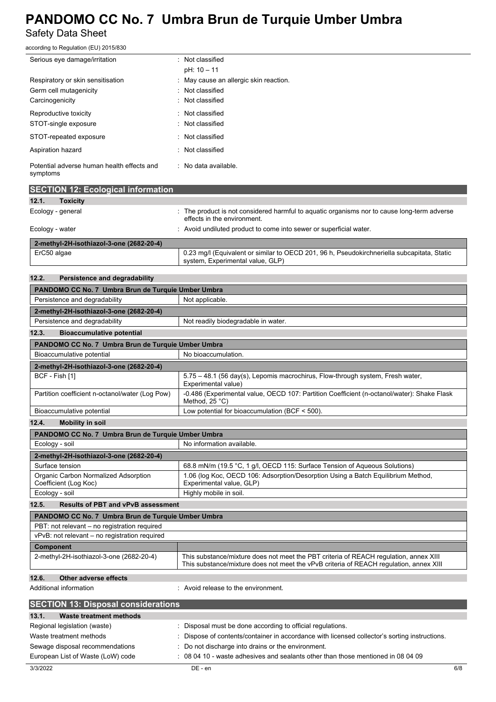# **PANDOMO CC No. 7 Umbra Brun de Turquie Umber Umbra** Safety Data Sheet

according to Regulation (EU) 2015/830

| Serious eye damage/irritation                          | : Not classified                       |
|--------------------------------------------------------|----------------------------------------|
|                                                        | $pH: 10 - 11$                          |
| Respiratory or skin sensitisation                      | : May cause an allergic skin reaction. |
| Germ cell mutagenicity                                 | : Not classified                       |
| Carcinogenicity                                        | : Not classified                       |
| Reproductive toxicity                                  | : Not classified                       |
| STOT-single exposure                                   | : Not classified                       |
| STOT-repeated exposure                                 | : Not classified                       |
| Aspiration hazard                                      | : Not classified                       |
| Potential adverse human health effects and<br>symptoms | : No data available.                   |

| <b>SECTION 12: Ecological information</b> |                                                                                                                                 |
|-------------------------------------------|---------------------------------------------------------------------------------------------------------------------------------|
| 12.1.<br><b>Toxicity</b>                  |                                                                                                                                 |
| Ecology - general                         | The product is not considered harmful to aquatic organisms nor to cause long-term adverse<br>effects in the environment.        |
| Ecology - water                           | : Avoid undiluted product to come into sewer or superficial water.                                                              |
| 2-methyl-2H-isothiazol-3-one (2682-20-4)  |                                                                                                                                 |
| ErC50 algae                               | 0.23 mg/l (Equivalent or similar to OECD 201, 96 h, Pseudokirchneriella subcapitata, Static<br>system, Experimental value, GLP) |

| 12.2.<br>Persistence and degradability                        |                                                                                                                                                                                 |  |
|---------------------------------------------------------------|---------------------------------------------------------------------------------------------------------------------------------------------------------------------------------|--|
| PANDOMO CC No. 7 Umbra Brun de Turquie Umber Umbra            |                                                                                                                                                                                 |  |
| Persistence and degradability                                 | Not applicable.                                                                                                                                                                 |  |
| 2-methyl-2H-isothiazol-3-one (2682-20-4)                      |                                                                                                                                                                                 |  |
| Persistence and degradability                                 | Not readily biodegradable in water.                                                                                                                                             |  |
| 12.3.<br><b>Bioaccumulative potential</b>                     |                                                                                                                                                                                 |  |
| PANDOMO CC No. 7 Umbra Brun de Turquie Umber Umbra            |                                                                                                                                                                                 |  |
| Bioaccumulative potential                                     | No bioaccumulation.                                                                                                                                                             |  |
| 2-methyl-2H-isothiazol-3-one (2682-20-4)                      |                                                                                                                                                                                 |  |
| BCF - Fish [1]                                                | 5.75 – 48.1 (56 day(s), Lepomis macrochirus, Flow-through system, Fresh water,<br>Experimental value)                                                                           |  |
| Partition coefficient n-octanol/water (Log Pow)               | -0.486 (Experimental value, OECD 107: Partition Coefficient (n-octanol/water): Shake Flask<br>Method, 25 °C)                                                                    |  |
| Bioaccumulative potential                                     | Low potential for bioaccumulation (BCF < 500).                                                                                                                                  |  |
| 12.4.<br><b>Mobility in soil</b>                              |                                                                                                                                                                                 |  |
| PANDOMO CC No. 7 Umbra Brun de Turquie Umber Umbra            |                                                                                                                                                                                 |  |
| Ecology - soil                                                | No information available.                                                                                                                                                       |  |
| 2-methyl-2H-isothiazol-3-one (2682-20-4)                      |                                                                                                                                                                                 |  |
| Surface tension                                               | 68.8 mN/m (19.5 °C, 1 g/l, OECD 115: Surface Tension of Aqueous Solutions)                                                                                                      |  |
| Organic Carbon Normalized Adsorption<br>Coefficient (Log Koc) | 1.06 (log Koc, OECD 106: Adsorption/Desorption Using a Batch Equilibrium Method,<br>Experimental value, GLP)                                                                    |  |
| Ecology - soil                                                | Highly mobile in soil.                                                                                                                                                          |  |
| 12.5.<br><b>Results of PBT and vPvB assessment</b>            |                                                                                                                                                                                 |  |
| PANDOMO CC No. 7 Umbra Brun de Turquie Umber Umbra            |                                                                                                                                                                                 |  |
| PBT: not relevant - no registration required                  |                                                                                                                                                                                 |  |
| vPvB: not relevant - no registration required                 |                                                                                                                                                                                 |  |
| <b>Component</b>                                              |                                                                                                                                                                                 |  |
| 2-methyl-2H-isothiazol-3-one (2682-20-4)                      | This substance/mixture does not meet the PBT criteria of REACH regulation, annex XIII<br>This substance/mixture does not meet the vPvB criteria of REACH regulation, annex XIII |  |
| 12.6.<br>Other adverse effects                                |                                                                                                                                                                                 |  |
| Additional information                                        | : Avoid release to the environment.                                                                                                                                             |  |
| <b>SECTION 13: Disposal considerations</b>                    |                                                                                                                                                                                 |  |
| 13.1.<br><b>Waste treatment methods</b>                       |                                                                                                                                                                                 |  |
| Regional legislation (waste)                                  | Disposal must be done according to official regulations.                                                                                                                        |  |
| Waste treatment methods                                       | Dispose of contents/container in accordance with licensed collector's sorting instructions.                                                                                     |  |
| Sewage disposal recommendations                               | Do not discharge into drains or the environment.                                                                                                                                |  |
| European List of Waste (LoW) code                             | 08 04 10 - waste adhesives and sealants other than those mentioned in 08 04 09                                                                                                  |  |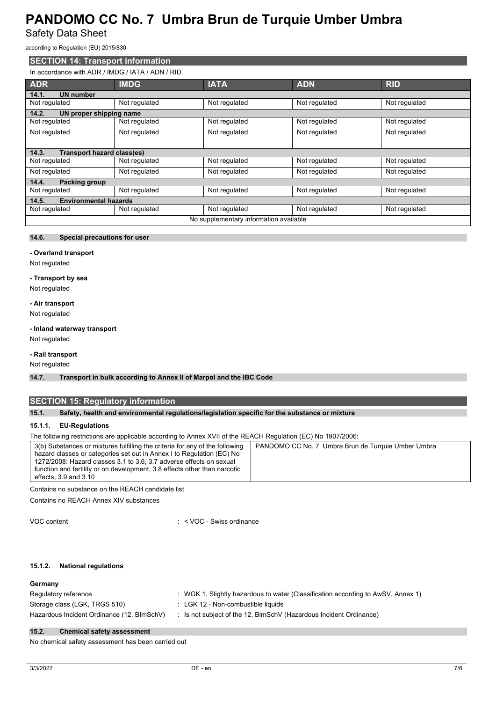Safety Data Sheet

according to Regulation (EU) 2015/830

# **SECTION 14: Transport information**

| In accordance with ADR / IMDG / IATA / ADN / RID |               |               |               |               |
|--------------------------------------------------|---------------|---------------|---------------|---------------|
| <b>ADR</b>                                       | <b>IMDG</b>   | <b>IATA</b>   | <b>ADN</b>    | <b>RID</b>    |
| <b>UN number</b><br>14.1.                        |               |               |               |               |
| Not regulated                                    | Not regulated | Not regulated | Not regulated | Not regulated |
| 14.2.<br>UN proper shipping name                 |               |               |               |               |
| Not regulated                                    | Not regulated | Not regulated | Not regulated | Not regulated |
| Not regulated                                    | Not regulated | Not regulated | Not regulated | Not regulated |
|                                                  |               |               |               |               |
| 14.3.<br>Transport hazard class(es)              |               |               |               |               |
| Not regulated                                    | Not regulated | Not regulated | Not regulated | Not regulated |
| Not regulated                                    | Not regulated | Not regulated | Not regulated | Not regulated |
| 14.4.<br>Packing group                           |               |               |               |               |
| Not regulated                                    | Not regulated | Not regulated | Not regulated | Not regulated |
| <b>Environmental hazards</b><br>14.5.            |               |               |               |               |
| Not regulated                                    | Not regulated | Not regulated | Not regulated | Not regulated |
| No supplementary information available           |               |               |               |               |

## **14.6. Special precautions for user**

## **- Overland transport**

Not regulated

## **- Transport by sea**

Not regulated

# **- Air transport**

Not regulated

# **- Inland waterway transport**

Not regulated

## **- Rail transport**

Not regulated

# **14.7. Transport in bulk according to Annex II of Marpol and the IBC Code**

# **SECTION 15: Regulatory information**

## **15.1. Safety, health and environmental regulations/legislation specific for the substance or mixture**

## **15.1.1. EU-Regulations**

The following restrictions are applicable according to Annex XVII of the REACH Regulation (EC) No 1907/2006:

| 3(b) Substances or mixtures fulfilling the criteria for any of the following | PANDOMO CC No. 7 Umbra Brun de Turquie Umber Umbra |
|------------------------------------------------------------------------------|----------------------------------------------------|
| hazard classes or categories set out in Annex I to Regulation (EC) No        |                                                    |
| 1272/2008: Hazard classes 3.1 to 3.6, 3.7 adverse effects on sexual          |                                                    |
| function and fertility or on development, 3.8 effects other than narcotic    |                                                    |
| effects. 3.9 and 3.10                                                        |                                                    |

Contains no substance on the REACH candidate list

Contains no REACH Annex XIV substances

VOC content : < VOC - Swiss ordinance

## **15.1.2. National regulations**

### **Germany**

| _ _ _ _                                    |                                                                                  |
|--------------------------------------------|----------------------------------------------------------------------------------|
| Regulatory reference                       | : WGK 1, Slightly hazardous to water (Classification according to AwSV, Annex 1) |
| Storage class (LGK, TRGS 510)              | : LGK 12 - Non-combustible liquids                                               |
| Hazardous Incident Ordinance (12. BImSchV) | : Is not subject of the 12. BlmSchV (Hazardous Incident Ordinance)               |

### **15.2. Chemical safety assessment**

No chemical safety assessment has been carried out